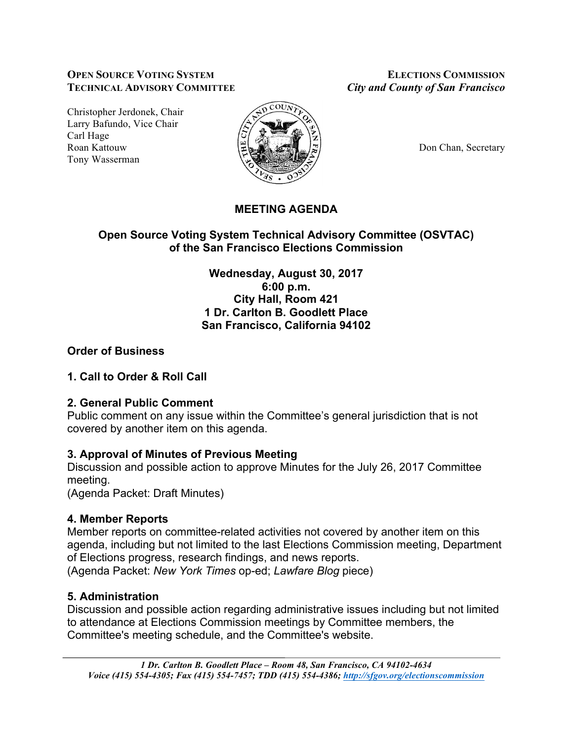#### **OPEN SOURCE VOTING SYSTEM ELECTIONS COMMISSION TECHNICAL ADVISORY COMMITTEE** *City and County of San Francisco*

Christopher Jerdonek, Chair Larry Bafundo, Vice Chair Carl Hage Roan Kattouw  $\Big|\frac{\mu}{\mu}\Big|_{\infty}$   $\Big|\frac{\mu}{\mu}\Big|_{\infty}$   $\Big|\frac{\mu}{\mu}\Big|_{\infty}$  Don Chan, Secretary Tony Wasserman



# **MEETING AGENDA**

# **Open Source Voting System Technical Advisory Committee (OSVTAC) of the San Francisco Elections Commission**

**Wednesday, August 30, 2017 6:00 p.m. City Hall, Room 421 1 Dr. Carlton B. Goodlett Place San Francisco, California 94102**

# **Order of Business**

# **1. Call to Order & Roll Call**

# **2. General Public Comment**

Public comment on any issue within the Committee's general jurisdiction that is not covered by another item on this agenda.

# **3. Approval of Minutes of Previous Meeting**

Discussion and possible action to approve Minutes for the July 26, 2017 Committee meeting.

(Agenda Packet: Draft Minutes)

# **4. Member Reports**

Member reports on committee-related activities not covered by another item on this agenda, including but not limited to the last Elections Commission meeting, Department of Elections progress, research findings, and news reports. (Agenda Packet: *New York Times* op-ed; *Lawfare Blog* piece)

# **5. Administration**

Discussion and possible action regarding administrative issues including but not limited to attendance at Elections Commission meetings by Committee members, the Committee's meeting schedule, and the Committee's website.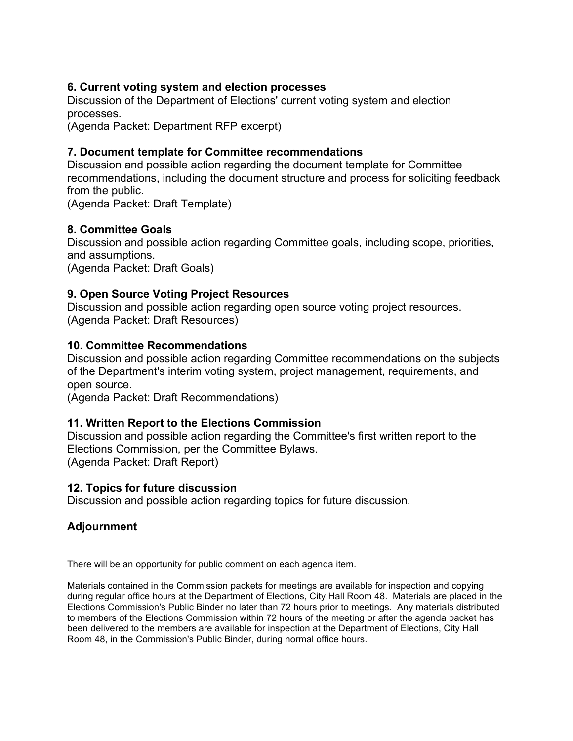### **6. Current voting system and election processes**

Discussion of the Department of Elections' current voting system and election processes.

(Agenda Packet: Department RFP excerpt)

### **7. Document template for Committee recommendations**

Discussion and possible action regarding the document template for Committee recommendations, including the document structure and process for soliciting feedback from the public.

(Agenda Packet: Draft Template)

### **8. Committee Goals**

Discussion and possible action regarding Committee goals, including scope, priorities, and assumptions.

(Agenda Packet: Draft Goals)

### **9. Open Source Voting Project Resources**

Discussion and possible action regarding open source voting project resources. (Agenda Packet: Draft Resources)

### **10. Committee Recommendations**

Discussion and possible action regarding Committee recommendations on the subjects of the Department's interim voting system, project management, requirements, and open source.

(Agenda Packet: Draft Recommendations)

### **11. Written Report to the Elections Commission**

Discussion and possible action regarding the Committee's first written report to the Elections Commission, per the Committee Bylaws. (Agenda Packet: Draft Report)

### **12. Topics for future discussion**

Discussion and possible action regarding topics for future discussion.

# **Adjournment**

There will be an opportunity for public comment on each agenda item.

Materials contained in the Commission packets for meetings are available for inspection and copying during regular office hours at the Department of Elections, City Hall Room 48. Materials are placed in the Elections Commission's Public Binder no later than 72 hours prior to meetings. Any materials distributed to members of the Elections Commission within 72 hours of the meeting or after the agenda packet has been delivered to the members are available for inspection at the Department of Elections, City Hall Room 48, in the Commission's Public Binder, during normal office hours.